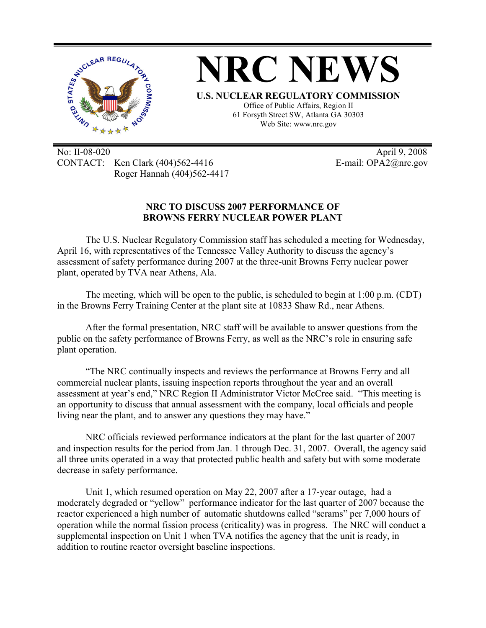

No: II-08-020 April 9, 2008 CONTACT: Ken Clark (404)562-4416 E-mail: OPA2@nrc.gov Roger Hannah (404)562-4417

## **NRC TO DISCUSS 2007 PERFORMANCE OF BROWNS FERRY NUCLEAR POWER PLANT**

The U.S. Nuclear Regulatory Commission staff has scheduled a meeting for Wednesday, April 16, with representatives of the Tennessee Valley Authority to discuss the agency's assessment of safety performance during 2007 at the three-unit Browns Ferry nuclear power plant, operated by TVA near Athens, Ala.

The meeting, which will be open to the public, is scheduled to begin at 1:00 p.m. (CDT) in the Browns Ferry Training Center at the plant site at 10833 Shaw Rd., near Athens.

After the formal presentation, NRC staff will be available to answer questions from the public on the safety performance of Browns Ferry, as well as the NRC's role in ensuring safe plant operation.

"The NRC continually inspects and reviews the performance at Browns Ferry and all commercial nuclear plants, issuing inspection reports throughout the year and an overall assessment at year's end," NRC Region II Administrator Victor McCree said. "This meeting is an opportunity to discuss that annual assessment with the company, local officials and people living near the plant, and to answer any questions they may have."

NRC officials reviewed performance indicators at the plant for the last quarter of 2007 and inspection results for the period from Jan. 1 through Dec. 31, 2007. Overall, the agency said all three units operated in a way that protected public health and safety but with some moderate decrease in safety performance.

Unit 1, which resumed operation on May 22, 2007 after a 17-year outage, had a moderately degraded or "yellow" performance indicator for the last quarter of 2007 because the reactor experienced a high number of automatic shutdowns called "scrams" per 7,000 hours of operation while the normal fission process (criticality) was in progress. The NRC will conduct a supplemental inspection on Unit 1 when TVA notifies the agency that the unit is ready, in addition to routine reactor oversight baseline inspections.